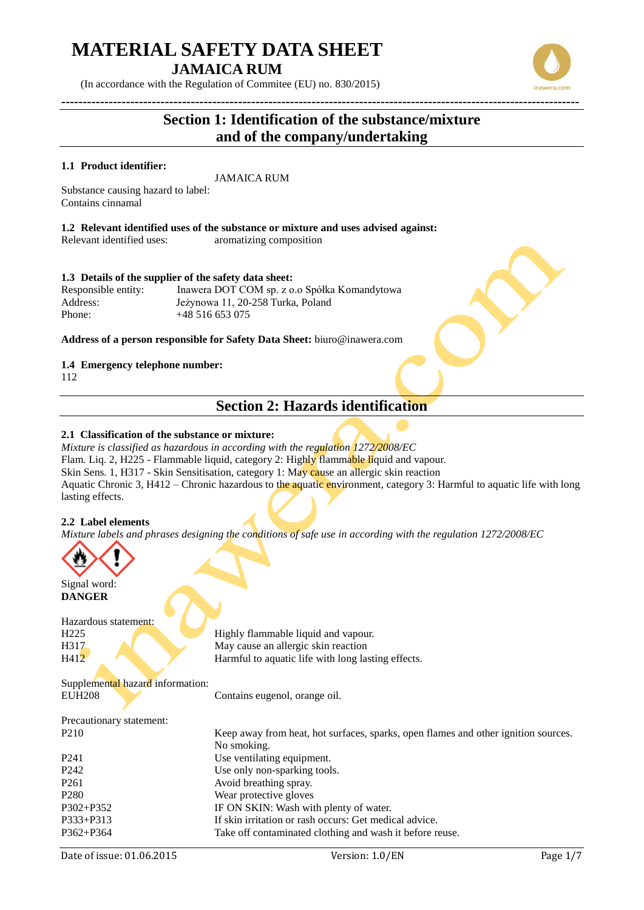(In accordance with the Regulation of Commitee (EU) no. 830/2015)

## **Section 1: Identification of the substance/mixture and of the company/undertaking**

#### **1.1 Product identifier:**

JAMAICA RUM

Substance causing hazard to label: Contains cinnamal

**1.2 Relevant identified uses of the substance or mixture and uses advised against:**

Relevant identified uses: aromatizing composition

#### **1.3 Details of the supplier of the safety data sheet:**

Responsible entity: Inawera DOT COM sp. z o.o Spółka Komandytowa Address: Jeżynowa 11, 20-258 Turka, Poland Phone: +48 516 653 075

**Address of a person responsible for Safety Data Sheet:** biuro@inawera.com

#### **1.4 Emergency telephone number:**

112

## **Section 2: Hazards identification**

#### **2.1 Classification of the substance or mixture:**

*Mixture is classified as hazardous in according with the regulation 1272/2008/EC* Flam. Liq. 2, H225 - Flammable liquid, category 2: Highly flammable liquid and vapour. Skin Sens. 1, H317 - Skin Sensitisation, category 1: May cause an allergic skin reaction Aquatic Chronic 3, H412 – Chronic hazardous to the aquatic environment, category 3: Harmful to aquatic life with long lasting effects.

#### **2.2 Label elements**

*Mixture labels and phrases designing the conditions of safe use in according with the regulation 1272/2008/EC*



Signal word: **DANGER**

Hazardous statement: H<sub>225</sub> Highly flammable liquid and vapour. H317 May cause an allergic skin reaction H412 Harmful to aquatic life with long lasting effects. Supplemental hazard information: EUH208 Contains eugenol, orange oil. Precautionary statement:

| P <sub>210</sub> | Keep away from heat, hot surfaces, sparks, open flames and other ignition sources. |  |
|------------------|------------------------------------------------------------------------------------|--|
|                  | No smoking.                                                                        |  |
| P <sub>241</sub> | Use ventilating equipment.                                                         |  |
| P <sub>242</sub> | Use only non-sparking tools.                                                       |  |
| P <sub>261</sub> | Avoid breathing spray.                                                             |  |
| P <sub>280</sub> | Wear protective gloves                                                             |  |
| $P302 + P352$    | IF ON SKIN: Wash with plenty of water.                                             |  |
| $P333 + P313$    | If skin irritation or rash occurs: Get medical advice.                             |  |
| $P362 + P364$    | Take off contaminated clothing and wash it before reuse.                           |  |
|                  |                                                                                    |  |

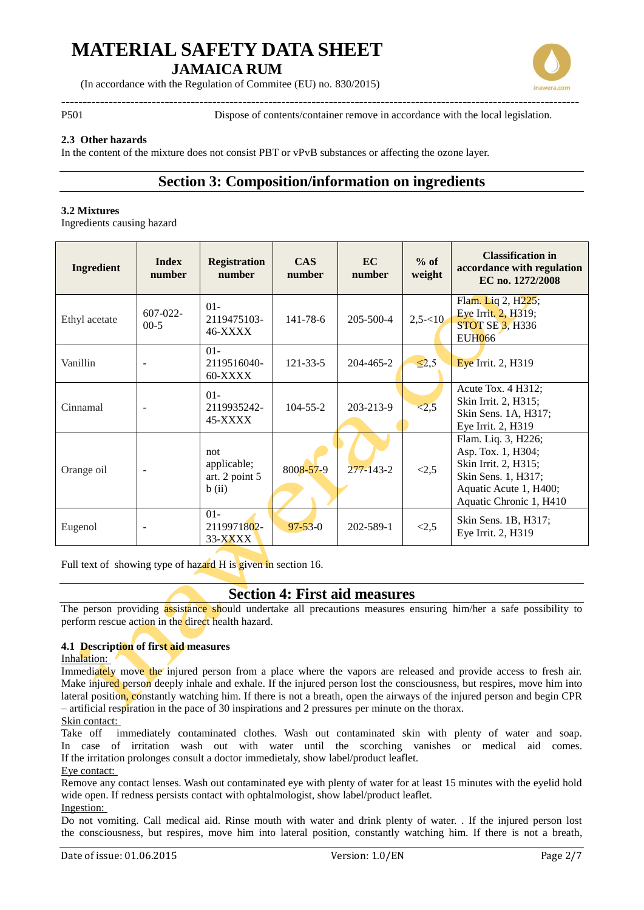

(In accordance with the Regulation of Commitee (EU) no. 830/2015)

**------------------------------------------------------------------------------------------------------------------------** P501 Dispose of contents/container remove in accordance with the local legislation.

#### **2.3 Other hazards**

In the content of the mixture does not consist PBT or vPvB substances or affecting the ozone layer.

### **Section 3: Composition/information on ingredients**

#### **3.2 Mixtures**

Ingredients causing hazard

| <b>Ingredient</b> | <b>Index</b><br>number  | <b>Registration</b><br>number                | <b>CAS</b><br>number | EC<br>number    | $%$ of<br>weight | <b>Classification in</b><br>accordance with regulation<br>EC no. 1272/2008                                                                    |
|-------------------|-------------------------|----------------------------------------------|----------------------|-----------------|------------------|-----------------------------------------------------------------------------------------------------------------------------------------------|
| Ethyl acetate     | $607 - 022 -$<br>$00-5$ | $01 -$<br>2119475103-<br><b>46-XXXX</b>      | 141-78-6             | $205 - 500 - 4$ | $2,5 - 10$       | Flam. Liq 2, H <sub>225</sub> ;<br>Eye Irrit. 2, H319;<br><b>STOT SE 3, H336</b><br><b>EUH066</b>                                             |
| Vanillin          |                         | $01 -$<br>2119516040-<br>60-XXXX             | $121 - 33 - 5$       | 204-465-2       | $\leq 2,5$       | Eye Irrit. 2, H319                                                                                                                            |
| Cinnamal          |                         | $01 -$<br>2119935242-<br>45-XXXX             | $104 - 55 - 2$       | 203-213-9       | < 2, 5           | Acute Tox. 4 H312;<br>Skin Irrit. 2, H315;<br>Skin Sens. 1A, H317;<br>Eye Irrit. 2, H319                                                      |
| Orange oil        |                         | not<br>applicable;<br>art. 2 point 5<br>b(i) | 8008-57-9            | $277 - 143 - 2$ | <2,5             | Flam. Liq. 3, H226;<br>Asp. Tox. 1, H304;<br>Skin Irrit. 2, H315;<br>Skin Sens. 1, H317;<br>Aquatic Acute 1, H400;<br>Aquatic Chronic 1, H410 |
| Eugenol           |                         | $01 -$<br>2119971802-<br>33-XXXX             | $97 - 53 - 0$        | 202-589-1       | <2,5             | Skin Sens. 1B, H317;<br>Eye Irrit. 2, H319                                                                                                    |

Full text of showing type of hazard H is given in section 16.

### **Section 4: First aid measures**

The person providing assistance should undertake all precautions measures ensuring him/her a safe possibility to perform rescue action in the direct health hazard.

#### **4.1 Description of first aid measures**

#### Inhalation:

Immediately move the injured person from a place where the vapors are released and provide access to fresh air. Make injured person deeply inhale and exhale. If the injured person lost the consciousness, but respires, move him into lateral position, constantly watching him. If there is not a breath, open the airways of the injured person and begin CPR – artificial respiration in the pace of 30 inspirations and 2 pressures per minute on the thorax.

#### Skin contact:

Take off immediately contaminated clothes. Wash out contaminated skin with plenty of water and soap. In case of irritation wash out with water until the scorching vanishes or medical aid comes. If the irritation prolonges consult a doctor immedietaly, show label/product leaflet. Eye contact:

Remove any contact lenses. Wash out contaminated eye with plenty of water for at least 15 minutes with the eyelid hold wide open. If redness persists contact with ophtalmologist, show label/product leaflet.

#### Ingestion:

Do not vomiting. Call medical aid. Rinse mouth with water and drink plenty of water. . If the injured person lost the consciousness, but respires, move him into lateral position, constantly watching him. If there is not a breath,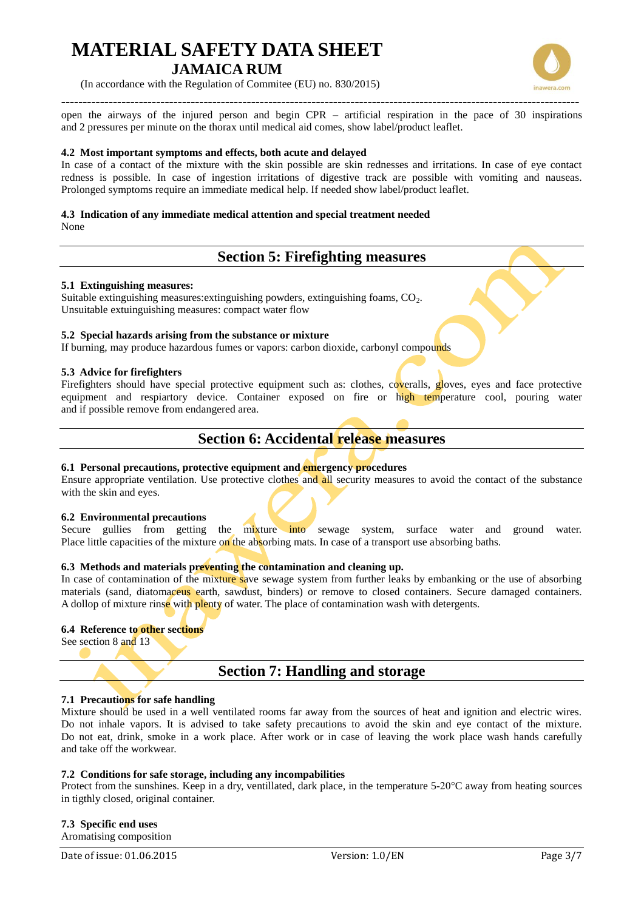

(In accordance with the Regulation of Commitee (EU) no. 830/2015)

**-----------------------------------------------------------------------------------------------------------------------** open the airways of the injured person and begin CPR – artificial respiration in the pace of 30 inspirations and 2 pressures per minute on the thorax until medical aid comes, show label/product leaflet.

#### **4.2 Most important symptoms and effects, both acute and delayed**

In case of a contact of the mixture with the skin possible are skin rednesses and irritations. In case of eye contact redness is possible. In case of ingestion irritations of digestive track are possible with vomiting and nauseas. Prolonged symptoms require an immediate medical help. If needed show label/product leaflet.

## **4.3 Indication of any immediate medical attention and special treatment needed**

None

## **Section 5: Firefighting measures**

#### **5.1 Extinguishing measures:**

Suitable extinguishing measures: extinguishing powders, extinguishing foams, CO<sub>2</sub>. Unsuitable extuinguishing measures: compact water flow

#### **5.2 Special hazards arising from the substance or mixture**

If burning, may produce hazardous fumes or vapors: carbon dioxide, carbonyl compounds

#### **5.3 Advice for firefighters**

Firefighters should have special protective equipment such as: clothes, coveralls, gloves, eyes and face protective equipment and respiartory device. Container exposed on fire or high temperature cool, pouring water and if possible remove from endangered area.

### **Section 6: Accidental release measures**

#### **6.1 Personal precautions, protective equipment and emergency procedures**

Ensure appropriate ventilation. Use protective clothes and all security measures to avoid the contact of the substance with the skin and eyes.

#### **6.2 Environmental precautions**

Secure gullies from getting the mixture into sewage system, surface water and ground water. Place little capacities of the mixture on the absorbing mats. In case of a transport use absorbing baths.

#### **6.3 Methods and materials preventing the contamination and cleaning up.**

In case of contamination of the mixture save sewage system from further leaks by embanking or the use of absorbing materials (sand, diatomaceus earth, sawdust, binders) or remove to closed containers. Secure damaged containers. A dollop of mixture rinse with plenty of water. The place of contamination wash with detergents.

#### **6.4 Reference to other sections**

See section 8 and 13

### **Section 7: Handling and storage**

#### **7.1 Precautions for safe handling**

Mixture should be used in a well ventilated rooms far away from the sources of heat and ignition and electric wires. Do not inhale vapors. It is advised to take safety precautions to avoid the skin and eye contact of the mixture. Do not eat, drink, smoke in a work place. After work or in case of leaving the work place wash hands carefully and take off the workwear.

#### **7.2 Conditions for safe storage, including any incompabilities**

Protect from the sunshines. Keep in a dry, ventillated, dark place, in the temperature 5-20°C away from heating sources in tigthly closed, original container.

**7.3 Specific end uses** Aromatising composition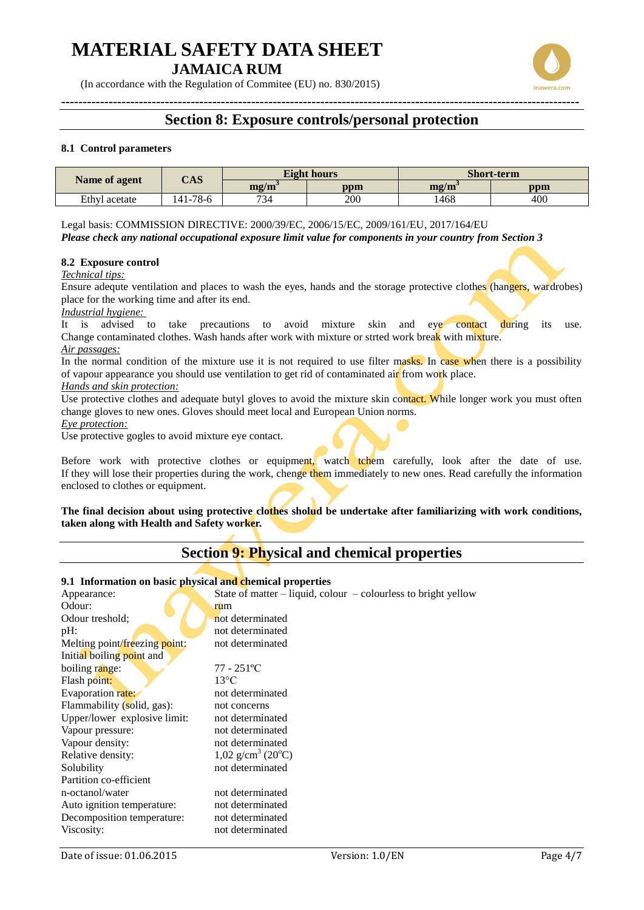(In accordance with the Regulation of Commitee (EU) no. 830/2015)

## **Section 8: Exposure controls/personal protection**

#### **8.1 Control parameters**

| Name of agent | $\mathbf{CAS}$ |                                   | <b>Eight hours</b> | <b>Short-term</b> |     |
|---------------|----------------|-----------------------------------|--------------------|-------------------|-----|
|               |                | $\mathbf{m}\mathbf{z}/\mathbf{m}$ | ppm                | mg/m              | ppm |
| Ethyl acetate | $-41 - 78 - 6$ | 734                               | 200                | 1468              | 400 |

Legal basis: COMMISSION DIRECTIVE: 2000/39/EC, 2006/15/EC, 2009/161/EU, 2017/164/EU *Please check any national occupational exposure limit value for components in your country from Section 3*

#### **8.2 Exposure control**

*Technical tips:*

Ensure adequte ventilation and places to wash the eyes, hands and the storage protective clothes (hangers, wardrobes) place for the working time and after its end.

*Industrial hygiene:* 

It is advised to take precautions to avoid mixture skin and eye contact during its use. Change contaminated clothes. Wash hands after work with mixture or strted work break with mixture. *Air passages:*

In the normal condition of the mixture use it is not required to use filter masks. In case when there is a possibility of vapour appearance you should use ventilation to get rid of contaminated air from work place.

#### *Hands and skin protection:*

Use protective clothes and adequate butyl gloves to avoid the mixture skin contact. While longer work you must often change gloves to new ones. Gloves should meet local and European Union norms.

*Eye protection:*

Use protective gogles to avoid mixture eye contact.

Before work with protective clothes or equipment, watch tchem carefully, look after the date of use. If they will lose their properties during the work, chenge them immediately to new ones. Read carefully the information enclosed to clothes or equipment.

**The final decision about using protective clothes sholud be undertake after familiarizing with work conditions, taken along with Health and Safety worker.**

## **Section 9: Physical and chemical properties**

#### **9.1 Information on basic physical and chemical properties**

| Appearance:                   | State of matter $-$ liquid, colour $-$ colourless to bright yellow |
|-------------------------------|--------------------------------------------------------------------|
| Odour:                        | rum                                                                |
| Odour treshold;               | not determinated                                                   |
| $pH$ :                        | not determinated                                                   |
| Melting point/freezing point: | not determinated                                                   |
| Initial boiling point and     |                                                                    |
| boiling range:                | $77 - 251$ <sup>o</sup> C                                          |
| Flash point:                  | $13^{\circ}$ C                                                     |
| Evaporation rate:             | not determinated                                                   |
| Flammability (solid, gas):    | not concerns                                                       |
| Upper/lower explosive limit:  | not determinated                                                   |
| Vapour pressure:              | not determinated                                                   |
| Vapour density:               | not determinated                                                   |
| Relative density:             | $1,02$ g/cm <sup>3</sup> (20 <sup>o</sup> C)                       |
| Solubility                    | not determinated                                                   |
| Partition co-efficient        |                                                                    |
| n-octanol/water               | not determinated                                                   |
| Auto ignition temperature:    | not determinated                                                   |
| Decomposition temperature:    | not determinated                                                   |
| Viscosity:                    | not determinated                                                   |

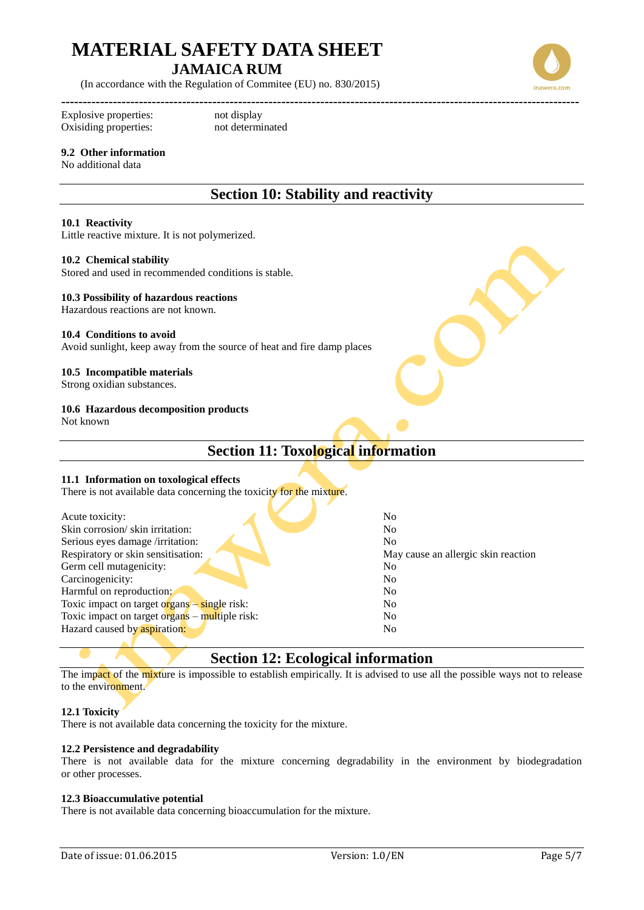(In accordance with the Regulation of Commitee (EU) no. 830/2015)

Explosive properties: not display Oxisiding properties: not determinated

#### **9.2 Other information**

#### No additional data

## **Section 10: Stability and reactivity**

#### **10.1 Reactivity**

Little reactive mixture. It is not polymerized.

**------------------------------------------------------------------------------------------------------------------------**

#### **10.2 Chemical stability**

Stored and used in recommended conditions is stable.

#### **10.3 Possibility of hazardous reactions**

Hazardous reactions are not known.

#### **10.4 Conditions to avoid**

Avoid sunlight, keep away from the source of heat and fire damp places

#### **10.5 Incompatible materials**

Strong oxidian substances.

#### **10.6 Hazardous decomposition products**

Not known

## **Section 11: Toxological information**

#### **11.1 Information on toxological effects**

There is not available data concerning the toxicity for the mixture.

| Acute toxicity:                                    | No                                  |
|----------------------------------------------------|-------------------------------------|
| Skin corrosion/skin irritation:                    | No                                  |
| Serious eyes damage /irritation:                   | N <sub>0</sub>                      |
| Respiratory or skin sensitisation:                 | May cause an allergic skin reaction |
| Germ cell mutagenicity:                            | No                                  |
| Carcinogenicity:                                   | N <sub>0</sub>                      |
| Harmful on reproduction:                           | N <sub>0</sub>                      |
| Toxic impact on target organs $-\sin\theta$ risk:  | N <sub>0</sub>                      |
| Toxic impact on target $organ s - multiple risk$ : | N <sub>0</sub>                      |
| Hazard caused by aspiration:                       | N <sub>0</sub>                      |
|                                                    |                                     |

### **Section 12: Ecological information**

The impact of the mixture is impossible to establish empirically. It is advised to use all the possible ways not to release to the environment.

#### **12.1 Toxicity**

There is not available data concerning the toxicity for the mixture.

#### **12.2 Persistence and degradability**

There is not available data for the mixture concerning degradability in the environment by biodegradation or other processes.

#### **12.3 Bioaccumulative potential**

There is not available data concerning bioaccumulation for the mixture.



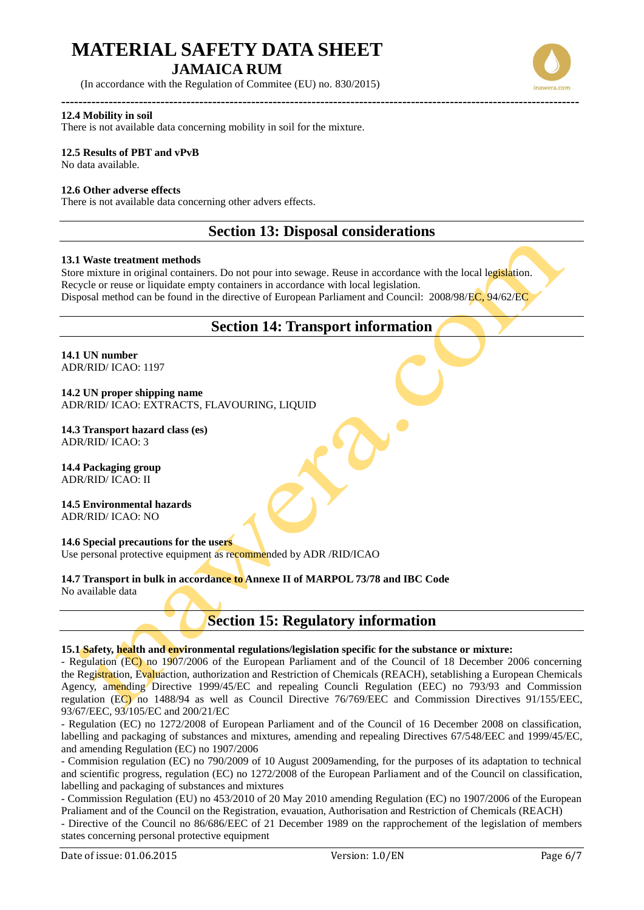(In accordance with the Regulation of Commitee (EU) no. 830/2015)

#### **------------------------------------------------------------------------------------------------------------------------ 12.4 Mobility in soil**

There is not available data concerning mobility in soil for the mixture.

#### **12.5 Results of PBT and vPvB**

No data available.

#### **12.6 Other adverse effects**

There is not available data concerning other advers effects.

### **Section 13: Disposal considerations**

#### **13.1 Waste treatment methods**

Store mixture in original containers. Do not pour into sewage. Reuse in accordance with the local legislation. Recycle or reuse or liquidate empty containers in accordance with local legislation. Disposal method can be found in the directive of European Parliament and Council: 2008/98/EC, 94/62/EC

### **Section 14: Transport information**

**14.1 UN number**  ADR/RID/ ICAO: 1197

**14.2 UN proper shipping name**  ADR/RID/ ICAO: EXTRACTS, FLAVOURING, LIQUID

#### **14.3 Transport hazard class (es)** ADR/RID/ ICAO: 3

**14.4 Packaging group** ADR/RID/ ICAO: II

**14.5 Environmental hazards**  ADR/RID/ ICAO: NO

#### **14.6 Special precautions for the users**

Use personal protective equipment as recommended by ADR /RID/ICAO

#### **14.7 Transport in bulk in accordance to Annexe II of MARPOL 73/78 and IBC Code**

No available data

### **Section 15: Regulatory information**

#### **15.1 Safety, health and environmental regulations/legislation specific for the substance or mixture:**

- Regulation (EC) no 1907/2006 of the European Parliament and of the Council of 18 December 2006 concerning the Registration, Evaluaction, authorization and Restriction of Chemicals (REACH), setablishing a European Chemicals Agency, amending Directive 1999/45/EC and repealing Councli Regulation (EEC) no 793/93 and Commission regulation (EC) no 1488/94 as well as Council Directive 76/769/EEC and Commission Directives 91/155/EEC, 93/67/EEC, 93/105/EC and 200/21/EC

- Regulation (EC) no 1272/2008 of European Parliament and of the Council of 16 December 2008 on classification, labelling and packaging of substances and mixtures, amending and repealing Directives 67/548/EEC and 1999/45/EC, and amending Regulation (EC) no 1907/2006

- Commision regulation (EC) no 790/2009 of 10 August 2009amending, for the purposes of its adaptation to technical and scientific progress, regulation (EC) no 1272/2008 of the European Parliament and of the Council on classification, labelling and packaging of substances and mixtures

- Commission Regulation (EU) no 453/2010 of 20 May 2010 amending Regulation (EC) no 1907/2006 of the European Praliament and of the Council on the Registration, evauation, Authorisation and Restriction of Chemicals (REACH)

- Directive of the Council no 86/686/EEC of 21 December 1989 on the rapprochement of the legislation of members states concerning personal protective equipment